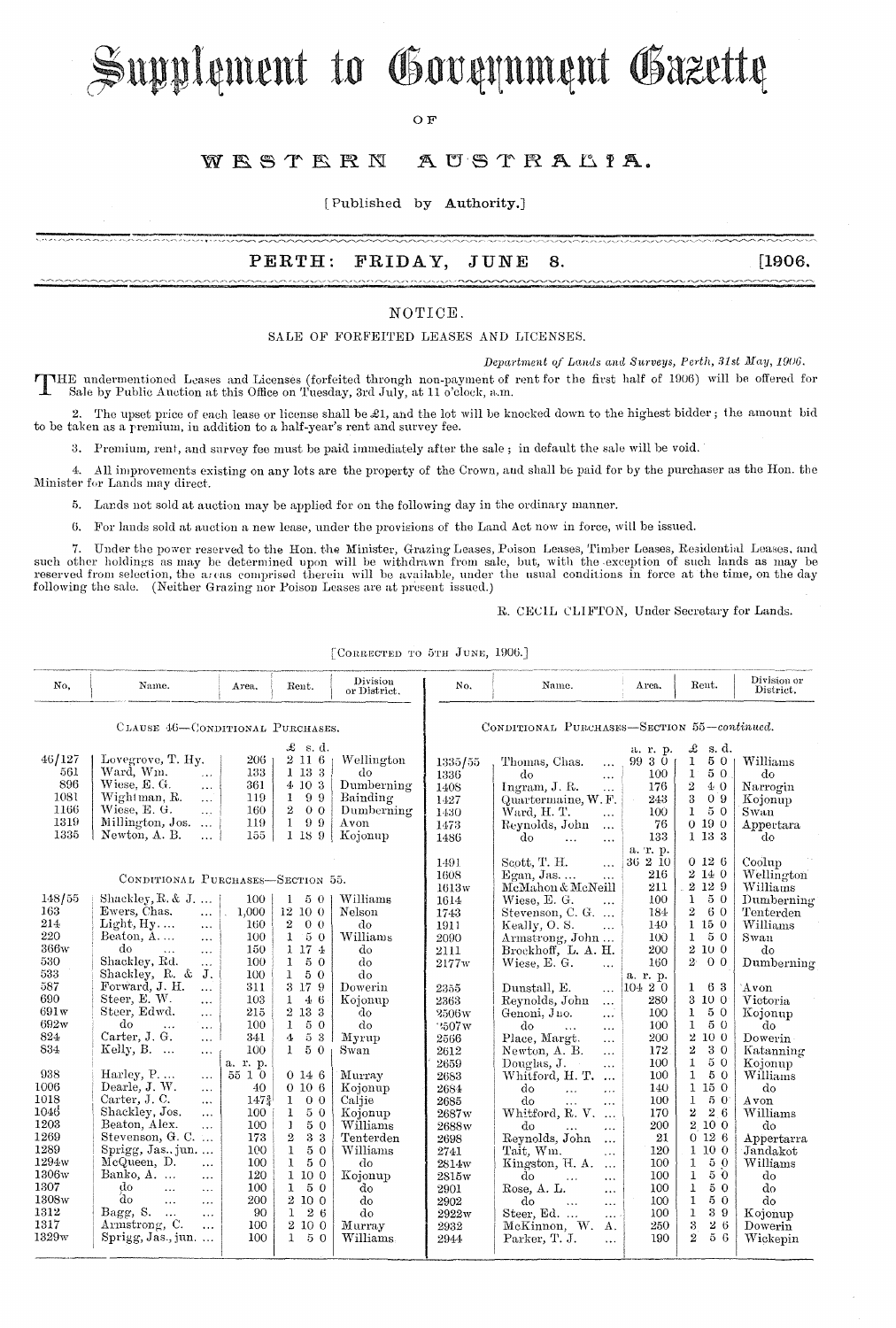# Supplement to Government Gazette

OF<sub>R</sub>

### WESTERN AUSTRALIA.

[Published by Authority.]

#### $\mathtt{PERTH:}$ FRIDAY, JUNE 8.

 $[1906,$ 

### NOTICE.

SALE OF FORFEITED LEASES AND LICENSES.

Department of Lands and Surveys, Perth, 31st May, 1906.

THE undermentioned Leases and Licenses (forfeited through non-payment of rent for the first half of 1906) will be offered for<br>Sale by Public Auction at this Office on Tuesday, 3rd July, at 11 o'clock, a.m.

2. The upset price of each lease or license shall be £1, and the lot will be knocked down to the highest bidder; the amount bid to be taken as a premium, in addition to a half-year's rent and survey fee.

3. Premium, rent, and survey fee must be paid immediately after the sale; in default the sale will be void.

All improvements existing on any lots are the property of the Crown, and shall be paid for by the purchaser as the Hon. the  $4<sub>1</sub>$ Minister for Lands may direct.

5. Lands not sold at auction may be applied for on the following day in the ordinary manner.

maa maanomittimat omaanomaanomeentamaanomeenssaatiintaanomeen<br>1920 – 1920 – 1920 – 1920 – 1930 – 1930 – 1930 – 1930 – 1930 – 1930 – 1930

6. For lands sold at auction a new lease, under the provisions of the Land Act now in force, will be issued.

7. Under the power reserved to the Hon. the Minister, Grazing Leases, Poison Leases, Timber Leases, Residential Leases, and such other holdings as may be determined upon will be withdrawn from sale, but, with the exception of such lands as may be reserved from selection, the areas comprised therein will be available, under the usual conditions following the sale. (Neither Grazing nor Poison Leases are at present issued.)

R. CECIL CLIFTON, Under Secretary for Lands.

[CORRECTED TO 5TH JUNE, 1906.]

| No.<br>46/127                                                                                                                                                                                                     | Name.                                                                                                                                                                                                                                                                                                                                                                                                                                                                                                                                                                                                                                                                                                                                                                                                                                                 | Area.                                                                                                                                                                                                       | Rent.                                                                                                                                                                                                                                                                                                                                                                                                                                                          | Division<br>or District.                                                                                                                                                                                                              | No.                                                                                                                                                                                                                                           | Name.                                                                                                                                                                                                                                                                                                                                                                                                                                                                                                                                                                                                                                                                                                                                                                                                                             | Area.                                                                                                                                                                                                                              | Rent.                                                                                                                                                                                                                                                                                                                                                                                                                                  | Division or<br>District.                                                                                                                                                                                                                                                                              |  |  |
|-------------------------------------------------------------------------------------------------------------------------------------------------------------------------------------------------------------------|-------------------------------------------------------------------------------------------------------------------------------------------------------------------------------------------------------------------------------------------------------------------------------------------------------------------------------------------------------------------------------------------------------------------------------------------------------------------------------------------------------------------------------------------------------------------------------------------------------------------------------------------------------------------------------------------------------------------------------------------------------------------------------------------------------------------------------------------------------|-------------------------------------------------------------------------------------------------------------------------------------------------------------------------------------------------------------|----------------------------------------------------------------------------------------------------------------------------------------------------------------------------------------------------------------------------------------------------------------------------------------------------------------------------------------------------------------------------------------------------------------------------------------------------------------|---------------------------------------------------------------------------------------------------------------------------------------------------------------------------------------------------------------------------------------|-----------------------------------------------------------------------------------------------------------------------------------------------------------------------------------------------------------------------------------------------|-----------------------------------------------------------------------------------------------------------------------------------------------------------------------------------------------------------------------------------------------------------------------------------------------------------------------------------------------------------------------------------------------------------------------------------------------------------------------------------------------------------------------------------------------------------------------------------------------------------------------------------------------------------------------------------------------------------------------------------------------------------------------------------------------------------------------------------|------------------------------------------------------------------------------------------------------------------------------------------------------------------------------------------------------------------------------------|----------------------------------------------------------------------------------------------------------------------------------------------------------------------------------------------------------------------------------------------------------------------------------------------------------------------------------------------------------------------------------------------------------------------------------------|-------------------------------------------------------------------------------------------------------------------------------------------------------------------------------------------------------------------------------------------------------------------------------------------------------|--|--|
|                                                                                                                                                                                                                   |                                                                                                                                                                                                                                                                                                                                                                                                                                                                                                                                                                                                                                                                                                                                                                                                                                                       |                                                                                                                                                                                                             |                                                                                                                                                                                                                                                                                                                                                                                                                                                                |                                                                                                                                                                                                                                       |                                                                                                                                                                                                                                               |                                                                                                                                                                                                                                                                                                                                                                                                                                                                                                                                                                                                                                                                                                                                                                                                                                   |                                                                                                                                                                                                                                    |                                                                                                                                                                                                                                                                                                                                                                                                                                        |                                                                                                                                                                                                                                                                                                       |  |  |
|                                                                                                                                                                                                                   |                                                                                                                                                                                                                                                                                                                                                                                                                                                                                                                                                                                                                                                                                                                                                                                                                                                       | CLAUSE 46-CONDITIONAL PURCHASES.                                                                                                                                                                            |                                                                                                                                                                                                                                                                                                                                                                                                                                                                |                                                                                                                                                                                                                                       |                                                                                                                                                                                                                                               |                                                                                                                                                                                                                                                                                                                                                                                                                                                                                                                                                                                                                                                                                                                                                                                                                                   | CONDITIONAL PURCHASES-SECTION 55-continued.                                                                                                                                                                                        |                                                                                                                                                                                                                                                                                                                                                                                                                                        |                                                                                                                                                                                                                                                                                                       |  |  |
| 561<br>896<br>1081<br>1166<br>1319<br>1335                                                                                                                                                                        | Lovegrove, T. Hy.<br>Ward, Wm.<br>$\mathbf{1}$<br>Wiese, E. G.<br>$\cdots$<br>Wightman, R.<br>$\cdots$<br>Wiese, E. G.<br>$\mathbf{1}$ .<br>Millington, Jos.<br>$\ddotsc$<br>Newton, A. B.<br>$\cdots$                                                                                                                                                                                                                                                                                                                                                                                                                                                                                                                                                                                                                                                | 206<br>133<br>361<br>119<br>160<br>119<br>155                                                                                                                                                               | $\mathcal{L}$ s.d.<br>2116<br>1 13 3<br>4 10 3<br>99<br>$\mathbf{1}$<br>$\mathbf{2}$<br>0 <sub>0</sub><br>$\mathbf{1}$<br>99<br>1 18 9                                                                                                                                                                                                                                                                                                                         | Wellington<br>dо<br>Dumberning<br>Bainding<br>Dumberning<br>Avon<br>Kojonup                                                                                                                                                           | 1335/55<br>1336<br>1408<br>1427<br>1430<br>1473<br>1486                                                                                                                                                                                       | Thomas, Chas.<br>$\ldots$<br>do<br>$\cdots$<br>Ingram, J. R.<br>$\ddot{\phantom{a}}$<br>Quartermaine, W.F.<br>Ward, H. T.<br>.<br>Reynolds, John<br>$\cdots$<br>do<br>$\ddotsc$<br>$\cdots$                                                                                                                                                                                                                                                                                                                                                                                                                                                                                                                                                                                                                                       | a. r. p.<br>9930<br>100<br>176<br>243<br>100<br>76<br>133                                                                                                                                                                          | £<br>s.d.<br>$\mathbf{1}$<br>50<br>50.<br>$1^{\circ}$<br>2<br>40<br>3<br>0.9<br>50<br>1<br>0190<br>1 13 3                                                                                                                                                                                                                                                                                                                              | Williams<br>do<br>Narrogin<br>Kojonup<br>Swan<br>Appertara<br>do                                                                                                                                                                                                                                      |  |  |
| 148/55<br>163<br>214<br>220<br>366w<br>530<br>533<br>587<br>690<br>691w<br>692w<br>824<br>834<br>938<br>1006<br>1018<br>1046<br>1203<br>1269<br>1289<br>1294w<br>1306w<br>1307<br>$_{1308\rm{w}}$<br>1312<br>1317 | CONDITIONAL PURCHASES-SECTION 55.<br>Shackley, $R$ , $\&$ J, $\ldots$<br>Ewers, Chas.<br>$\mathbf{r}$<br>Light, Hy<br>$\ldots$<br>Beaton, A<br>$\cdots$<br>do<br>$\ddotsc$<br>$\cdots$<br>Shackley, Rd.<br>$\cdots$<br>Shackley, R. &<br>J.<br>Forward, J. H.<br>$\ddotsc$<br>Steer, E. W.<br>$\cdots$<br>Steer, Edwd.<br>$\cdots$<br>do<br>$\ddot{\phantom{a}}$<br>$\ldots$<br>Carter, J. G.<br>$\sim$ $\sim$ $\sim$<br>Kelly, $B. \ldots$<br>$\ldots$<br>Harley, P<br>$\cdots$<br>Dearle, J. W.<br>$\ldots$<br>Carter, J.C.<br>$\cdots$<br>Shackley, Jos.<br>$\cdots$<br>Beaton, Alex.<br>$\cdots$<br>Stevenson, G. C.<br>$Springg, Jas., jun. \dots$<br>McQueen, D.<br>$\cdots$<br>Banko, A.<br>$\ddotsc$<br>$d\sigma$<br>$\ddotsc$<br>$\cdots$<br>do<br>$\ddotsc$<br>$\cdots$<br>Bagg, S.<br>$\ddotsc$<br>$\ddotsc$<br>Armstrong, C.<br>$\ddotsc$ | 100<br>1,000<br>160<br>100<br>150<br>100<br>100<br>311<br>103<br>215<br>100<br>341<br>100<br>a. r. p.<br>55 1 0<br>40<br>$147_{4}^{3}$<br>100<br>100<br>173<br>100<br>100<br>120<br>100<br>200<br>90<br>100 | $1\quad 5\quad 0$<br>12 10 0<br>$2\quad 0\quad 0$<br>$\mathbf{1}$<br>50<br>1 17 4<br>$\mathbf{1}$<br>50<br>$\mathbf{1}$<br>50<br>3 17 9<br>$\mathbf{1}$<br>46<br>2 13 3<br>$\mathbf{1}$<br>5 0<br>$5\,$ $3\,$<br>4<br>50<br>$\mathbf{1}$<br>0146<br>0106<br>$\mathbf{1}$<br>0 <sub>0</sub><br>$\mathbf{1}$<br>50<br>50<br>$\mathbf{1}$<br>2<br>3 3<br>1<br>50<br>5 0<br>$\mathbf{1}$<br>1 10 0<br>50<br>$\mathbf{1}$<br>2 10 0<br>26<br>$\mathbf{1}$<br>2 10 0 | Williams<br>Nelson<br>do<br>Williams<br>do<br>do<br>do<br>Dowerin<br>Kojonup<br>do<br>do<br>Myrup<br>Swan<br>Murray<br>Kojonup<br>Caljie<br>Kojonup<br>Williams<br>Tenterden<br>Williams<br>do<br>Kojonup<br>do<br>do<br>do<br>Murray | 1491<br>1608<br>1613w<br>1614<br>1743<br>1911<br>2090<br>2111<br>2177w<br>2355<br>2363<br>2506w<br>2507w<br>2566<br>2612<br>2659<br>2683<br>2684<br>2685<br>2687w<br>2688w<br>2698<br>2741<br>2814w<br>2815w<br>2901<br>2902<br>2922w<br>2932 | Scott, T. H.<br>$\cdots$<br>$Egan, Jas. \ldots$<br>$\cdots$<br>McMahon & McNeill<br>Wiese, E. G.<br>$\ddotsc$<br>Stevenson, C. G.<br>Keally, O.S.<br>$\ddotsc$<br>Armstrong, John<br>Brockhoff, L. A. H.<br>Wiese, E. G.<br>$\ddotsc$<br>Dunstall, E.<br>$\cdots$<br>Reynolds, John<br>$\cdots$<br>Genoni, Jno.<br>$\ldots$<br>do<br>$\cdots$<br>$\cdots$<br>Place, Margt.<br>$\cdots$<br>Newton, A. B.<br>$\cdots$<br>Douglas, J.<br>$\cdots$<br>Whitford, H. T.<br>$\ddotsc$<br>do<br>$\ldots$<br>$\ddot{\phantom{a}}$<br>do<br>$\ddotsc$<br>$\cdots$<br>Whitford, R. V.<br>do<br>$\cdots$<br>Reynolds, John<br>$\cdots$<br>Tait, Wm.<br>$\ddotsc$<br>Kingston, H. A.<br>$\cdots$<br>do<br>$\mathbf{1}$<br>$\cdots$<br>Rose, A. L.<br>$\cdots$<br>do<br>$\cdots$<br>$\ddotsc$<br>Steer, Ed.<br>$\sim 100$<br>McKinnon, W.<br>Α. | a. r. p.<br>36210<br>216<br>211<br>100<br>184<br>140<br>100<br>200<br>160<br>a. r. p.<br>10420<br>280<br>100<br>100<br>200<br>172<br>100<br>100<br>140<br>100<br>170<br>200<br>21<br>120<br>100<br>100<br>100<br>100<br>100<br>250 | 0126<br>2140<br>2 12 9<br>50<br>$\mathbf{1}$<br>$\boldsymbol{2}$<br>60<br>1150<br>50<br>1<br>2100<br>2 <sup>5</sup><br>0 <sub>0</sub><br>63<br>1<br>$3\ 10\ 0$<br>1<br>50<br>50<br>$\mathbf{1}$<br>2 10 0<br>$\overline{2}$<br>30<br>1<br>50<br>$\mathbf{1}$<br>50<br>1150<br>$\bf{1}$<br>50<br>$\overline{2}$<br>26<br>2 10 0<br>0126<br>1100<br>50<br>1<br>50<br>$\mathbf{1}$<br>50<br>1<br>50<br>1<br>39<br>$\mathbf{1}$<br>3<br>26 | Coolup<br>Wellington<br>Williams<br>Dumberning<br>Tenterden<br>Williams<br>Swan<br>do<br>Dumberning<br>Avon<br>Victoria<br>Kojonup<br>do<br>Dowerin<br>Katanning<br>Kojonup<br>Williams<br>do<br>Avon<br>Williams<br>do<br>Appertarra<br>Jandakot<br>Williams<br>do<br>do<br>do<br>Kojonup<br>Dowerin |  |  |